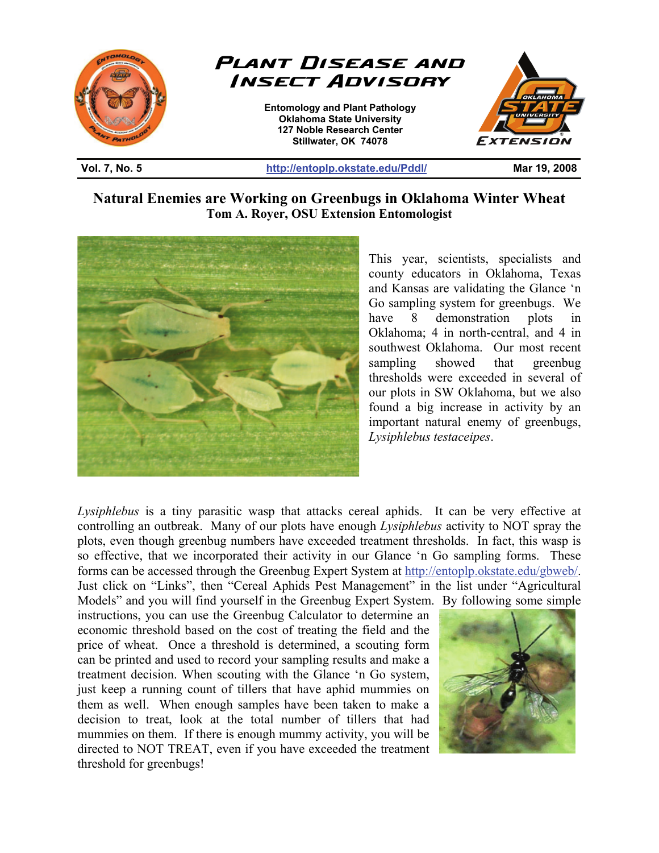

**Natural Enemies are Working on Greenbugs in Oklahoma Winter Wheat Tom A. Royer, OSU Extension Entomologist** 



This year, scientists, specialists and county educators in Oklahoma, Texas and Kansas are validating the Glance 'n Go sampling system for greenbugs. We have 8 demonstration plots in Oklahoma; 4 in north-central, and 4 in southwest Oklahoma. Our most recent sampling showed that greenbug thresholds were exceeded in several of our plots in SW Oklahoma, but we also found a big increase in activity by an important natural enemy of greenbugs, *Lysiphlebus testaceipes*.

*Lysiphlebus* is a tiny parasitic wasp that attacks cereal aphids. It can be very effective at controlling an outbreak. Many of our plots have enough *Lysiphlebus* activity to NOT spray the plots, even though greenbug numbers have exceeded treatment thresholds. In fact, this wasp is so effective, that we incorporated their activity in our Glance 'n Go sampling forms. These forms can be accessed through the Greenbug Expert System at http://entoplp.okstate.edu/gbweb/. Just click on "Links", then "Cereal Aphids Pest Management" in the list under "Agricultural Models" and you will find yourself in the Greenbug Expert System. By following some simple

instructions, you can use the Greenbug Calculator to determine an economic threshold based on the cost of treating the field and the price of wheat. Once a threshold is determined, a scouting form can be printed and used to record your sampling results and make a treatment decision. When scouting with the Glance 'n Go system, just keep a running count of tillers that have aphid mummies on them as well. When enough samples have been taken to make a decision to treat, look at the total number of tillers that had mummies on them. If there is enough mummy activity, you will be directed to NOT TREAT, even if you have exceeded the treatment threshold for greenbugs!